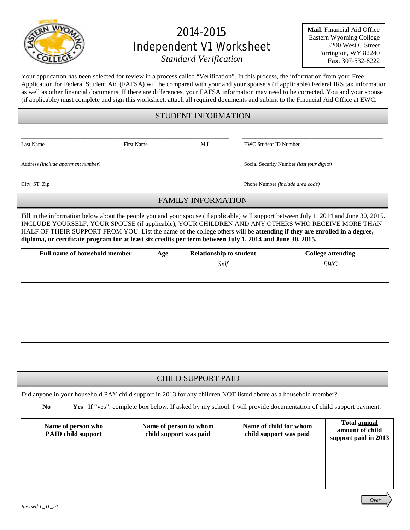

# 2014-2015 Independent V1 Worksheet

**Mail**: Financial Aid Office Eastern Wyoming College 3200 West C Street Torrington, WY 82240 **Fax**: 307-532-8222

*Standard Verification*

Your application has been selected for review in a process called "Verification". In this process, the information from your Free Application for Federal Student Aid (FAFSA) will be compared with your and your spouse's (if applicable) Federal IRS tax information as well as other financial documents. If there are differences, your FAFSA information may need to be corrected. You and your spouse (if applicable) must complete and sign this worksheet, attach all required documents and submit to the Financial Aid Office at EWC.

## STUDENT INFORMATION

\_\_\_\_\_\_\_\_\_\_\_\_\_\_\_\_\_\_\_\_\_\_\_\_\_\_\_\_\_\_\_\_\_\_\_\_\_\_\_\_\_\_\_\_\_\_\_\_\_\_\_\_\_\_\_\_\_\_\_\_\_\_ \_\_\_\_\_\_\_\_\_\_\_\_\_\_\_\_\_\_\_\_\_\_\_\_\_\_\_\_\_\_\_\_\_\_\_\_\_\_\_\_\_\_

\_\_\_\_\_\_\_\_\_\_\_\_\_\_\_\_\_\_\_\_\_\_\_\_\_\_\_\_\_\_\_\_\_\_\_\_\_\_\_\_\_\_\_\_\_\_\_\_\_\_\_\_\_\_\_\_\_\_\_\_\_\_ \_\_\_\_\_\_\_\_\_\_\_\_\_\_\_\_\_\_\_\_\_\_\_\_\_\_\_\_\_\_\_\_\_\_\_\_\_\_\_\_\_\_

\_\_\_\_\_\_\_\_\_\_\_\_\_\_\_\_\_\_\_\_\_\_\_\_\_\_\_\_\_\_\_\_\_\_\_\_\_\_\_\_\_\_\_\_\_\_\_\_\_\_\_\_\_\_\_\_\_\_\_\_\_\_ \_\_\_\_\_\_\_\_\_\_\_\_\_\_\_\_\_\_\_\_\_\_\_\_\_\_\_\_\_\_\_\_\_\_\_\_\_\_\_\_\_\_

Last Name First Name First Name M.I. EWC Student ID Number

Address *(include apartment number)* Social Security Number *(last four digits)*

City, ST, Zip Phone Number *(include area code)*

# FAMILY INFORMATION

Fill in the information below about the people you and your spouse (if applicable) will support between July 1, 2014 and June 30, 2015. INCLUDE YOURSELF, YOUR SPOUSE (if applicable), YOUR CHILDREN AND ANY OTHERS WHO RECEIVE MORE THAN HALF OF THEIR SUPPORT FROM YOU. List the name of the college others will be **attending if they are enrolled in a degree, diploma, or certificate program for at least six credits per term between July 1, 2014 and June 30, 2015.**

| <b>Full name of household member</b> | Age | <b>Relationship to student</b> | <b>College attending</b> |
|--------------------------------------|-----|--------------------------------|--------------------------|
|                                      |     | Self                           | EWC                      |
|                                      |     |                                |                          |
|                                      |     |                                |                          |
|                                      |     |                                |                          |
|                                      |     |                                |                          |
|                                      |     |                                |                          |
|                                      |     |                                |                          |
|                                      |     |                                |                          |

## CHILD SUPPORT PAID

Did anyone in your household PAY child support in 2013 for any children NOT listed above as a household member?

**No Yes** If "yes", complete box below. If asked by my school, I will provide documentation of child support payment.

| Name of person who<br><b>PAID child support</b> | Name of person to whom<br>child support was paid | Name of child for whom<br>child support was paid | Total annual<br>amount of child<br>support paid in 2013 |
|-------------------------------------------------|--------------------------------------------------|--------------------------------------------------|---------------------------------------------------------|
|                                                 |                                                  |                                                  |                                                         |
|                                                 |                                                  |                                                  |                                                         |
|                                                 |                                                  |                                                  |                                                         |
|                                                 |                                                  |                                                  |                                                         |